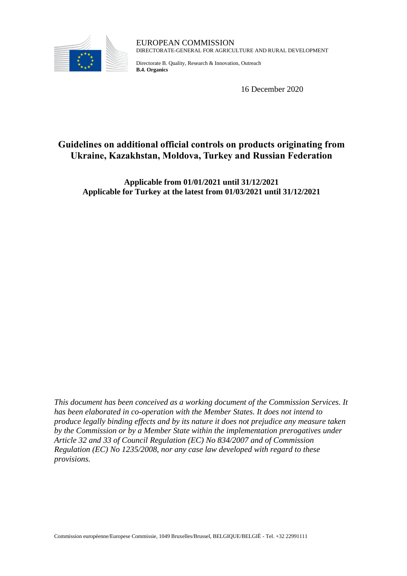

EUROPEAN COMMISSION DIRECTORATE-GENERAL FOR AGRICULTURE AND RURAL DEVELOPMENT

Directorate B. Quality, Research & Innovation, Outreach **B.4. Organics**

16 December 2020

# **Guidelines on additional official controls on products originating from Ukraine, Kazakhstan, Moldova, Turkey and Russian Federation**

**Applicable from 01/01/2021 until 31/12/2021 Applicable for Turkey at the latest from 01/03/2021 until 31/12/2021**

*This document has been conceived as a working document of the Commission Services. It has been elaborated in co-operation with the Member States. It does not intend to produce legally binding effects and by its nature it does not prejudice any measure taken by the Commission or by a Member State within the implementation prerogatives under Article 32 and 33 of Council Regulation (EC) No 834/2007 and of Commission Regulation (EC) No 1235/2008, nor any case law developed with regard to these provisions.*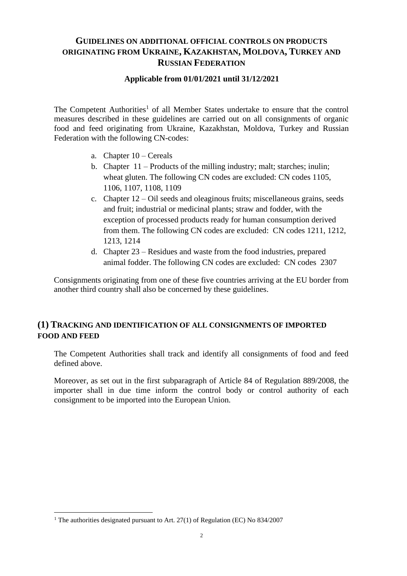## **GUIDELINES ON ADDITIONAL OFFICIAL CONTROLS ON PRODUCTS ORIGINATING FROM UKRAINE, KAZAKHSTAN, MOLDOVA, TURKEY AND RUSSIAN FEDERATION**

#### **Applicable from 01/01/2021 until 31/12/2021**

The Competent Authorities<sup>1</sup> of all Member States undertake to ensure that the control measures described in these guidelines are carried out on all consignments of organic food and feed originating from Ukraine, Kazakhstan, Moldova, Turkey and Russian Federation with the following CN-codes:

- a. Chapter 10 Cereals
- b. Chapter 11 Products of the milling industry; malt; starches; inulin; wheat gluten. The following CN codes are excluded: CN codes 1105, 1106, 1107, 1108, 1109
- c. Chapter 12 Oil seeds and oleaginous fruits; miscellaneous grains, seeds and fruit; industrial or medicinal plants; straw and fodder, with the exception of processed products ready for human consumption derived from them. The following CN codes are excluded: CN codes 1211, 1212, 1213, 1214
- d. Chapter 23 Residues and waste from the food industries, prepared animal fodder. The following CN codes are excluded: CN codes 2307

Consignments originating from one of these five countries arriving at the EU border from another third country shall also be concerned by these guidelines.

### **(1) TRACKING AND IDENTIFICATION OF ALL CONSIGNMENTS OF IMPORTED FOOD AND FEED**

The Competent Authorities shall track and identify all consignments of food and feed defined above.

Moreover, as set out in the first subparagraph of Article 84 of Regulation 889/2008, the importer shall in due time inform the control body or control authority of each consignment to be imported into the European Union.

<sup>&</sup>lt;sup>1</sup> The authorities designated pursuant to Art. 27(1) of Regulation (EC) No  $834/2007$